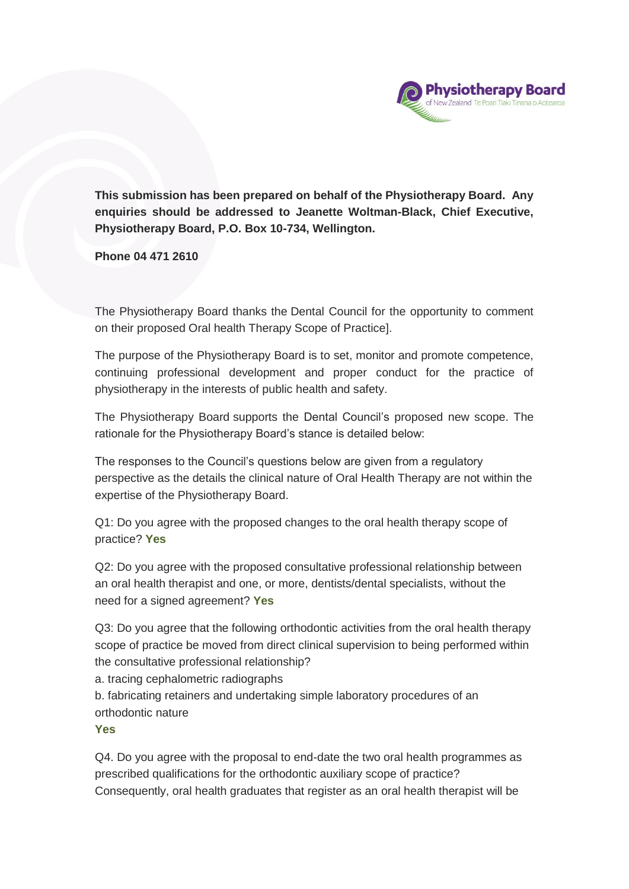

**This submission has been prepared on behalf of the Physiotherapy Board. Any enquiries should be addressed to Jeanette Woltman-Black, Chief Executive, Physiotherapy Board, P.O. Box 10-734, Wellington.** 

**Phone 04 471 2610**

The Physiotherapy Board thanks the Dental Council for the opportunity to comment on their proposed Oral health Therapy Scope of Practice].

The purpose of the Physiotherapy Board is to set, monitor and promote competence, continuing professional development and proper conduct for the practice of physiotherapy in the interests of public health and safety.

The Physiotherapy Board supports the Dental Council's proposed new scope. The rationale for the Physiotherapy Board's stance is detailed below:

The responses to the Council's questions below are given from a regulatory perspective as the details the clinical nature of Oral Health Therapy are not within the expertise of the Physiotherapy Board.

Q1: Do you agree with the proposed changes to the oral health therapy scope of practice? **Yes**

Q2: Do you agree with the proposed consultative professional relationship between an oral health therapist and one, or more, dentists/dental specialists, without the need for a signed agreement? **Yes**

Q3: Do you agree that the following orthodontic activities from the oral health therapy scope of practice be moved from direct clinical supervision to being performed within the consultative professional relationship?

a. tracing cephalometric radiographs

b. fabricating retainers and undertaking simple laboratory procedures of an orthodontic nature

## **Yes**

Q4. Do you agree with the proposal to end-date the two oral health programmes as prescribed qualifications for the orthodontic auxiliary scope of practice? Consequently, oral health graduates that register as an oral health therapist will be